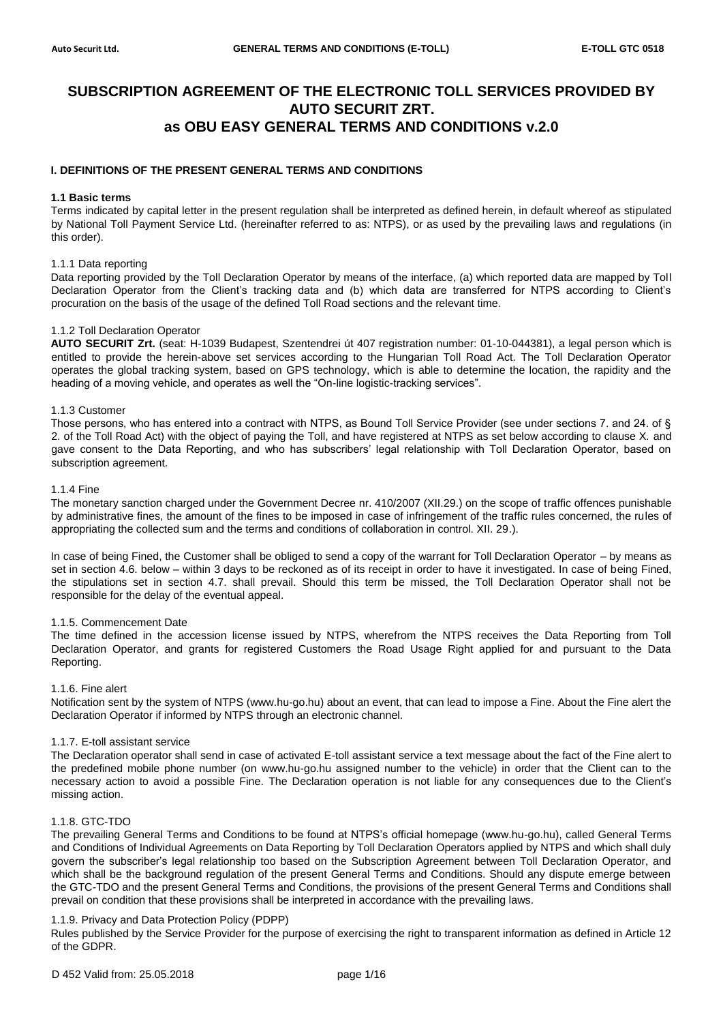# **SUBSCRIPTION AGREEMENT OF THE ELECTRONIC TOLL SERVICES PROVIDED BY AUTO SECURIT ZRT. as OBU EASY GENERAL TERMS AND CONDITIONS v.2.0**

# **I. DEFINITIONS OF THE PRESENT GENERAL TERMS AND CONDITIONS**

# **1.1 Basic terms**

Terms indicated by capital letter in the present regulation shall be interpreted as defined herein, in default whereof as stipulated by National Toll Payment Service Ltd. (hereinafter referred to as: NTPS), or as used by the prevailing laws and regulations (in this order).

#### 1.1.1 Data reporting

Data reporting provided by the Toll Declaration Operator by means of the interface, (a) which reported data are mapped by Toll Declaration Operator from the Client's tracking data and (b) which data are transferred for NTPS according to Client's procuration on the basis of the usage of the defined Toll Road sections and the relevant time.

# 1.1.2 Toll Declaration Operator

**AUTO SECURIT Zrt.** (seat: H-1039 Budapest, Szentendrei út 407 registration number: 01-10-044381), a legal person which is entitled to provide the herein-above set services according to the Hungarian Toll Road Act. The Toll Declaration Operator operates the global tracking system, based on GPS technology, which is able to determine the location, the rapidity and the heading of a moving vehicle, and operates as well the "On-line logistic-tracking services".

#### 1.1.3 Customer

Those persons, who has entered into a contract with NTPS, as Bound Toll Service Provider (see under sections 7. and 24. of § 2. of the Toll Road Act) with the object of paying the Toll, and have registered at NTPS as set below according to clause X. and gave consent to the Data Reporting, and who has subscribers' legal relationship with Toll Declaration Operator, based on subscription agreement.

#### 1.1.4 Fine

The monetary sanction charged under the Government Decree nr. 410/2007 (XII.29.) on the scope of traffic offences punishable by administrative fines, the amount of the fines to be imposed in case of infringement of the traffic rules concerned, the rules of appropriating the collected sum and the terms and conditions of collaboration in control. XII. 29.).

In case of being Fined, the Customer shall be obliged to send a copy of the warrant for Toll Declaration Operator – by means as set in section 4.6. below – within 3 days to be reckoned as of its receipt in order to have it investigated. In case of being Fined, the stipulations set in section 4.7. shall prevail. Should this term be missed, the Toll Declaration Operator shall not be responsible for the delay of the eventual appeal.

# 1.1.5. Commencement Date

The time defined in the accession license issued by NTPS, wherefrom the NTPS receives the Data Reporting from Toll Declaration Operator, and grants for registered Customers the Road Usage Right applied for and pursuant to the Data Reporting.

# 1.1.6. Fine alert

Notification sent by the system of NTPS [\(www.hu-go.hu\)](http://www.hu-go.hu/) about an event, that can lead to impose a Fine. About the Fine alert the Declaration Operator if informed by NTPS through an electronic channel.

# 1.1.7. E-toll assistant service

The Declaration operator shall send in case of activated E-toll assistant service a text message about the fact of the Fine alert to the predefined mobile phone number (on [www.hu-go.hu](http://www.hu-go.hu/) assigned number to the vehicle) in order that the Client can to the necessary action to avoid a possible Fine. The Declaration operation is not liable for any consequences due to the Client's missing action.

# 1.1.8. GTC-TDO

The prevailing General Terms and Conditions to be found at NTPS's official homepage (www.hu-go.hu), called General Terms and Conditions of Individual Agreements on Data Reporting by Toll Declaration Operators applied by NTPS and which shall duly govern the subscriber's legal relationship too based on the Subscription Agreement between Toll Declaration Operator, and which shall be the background regulation of the present General Terms and Conditions. Should any dispute emerge between the GTC-TDO and the present General Terms and Conditions, the provisions of the present General Terms and Conditions shall prevail on condition that these provisions shall be interpreted in accordance with the prevailing laws.

# 1.1.9. Privacy and Data Protection Policy (PDPP)

Rules published by the Service Provider for the purpose of exercising the right to transparent information as defined in Article 12 of the GDPR.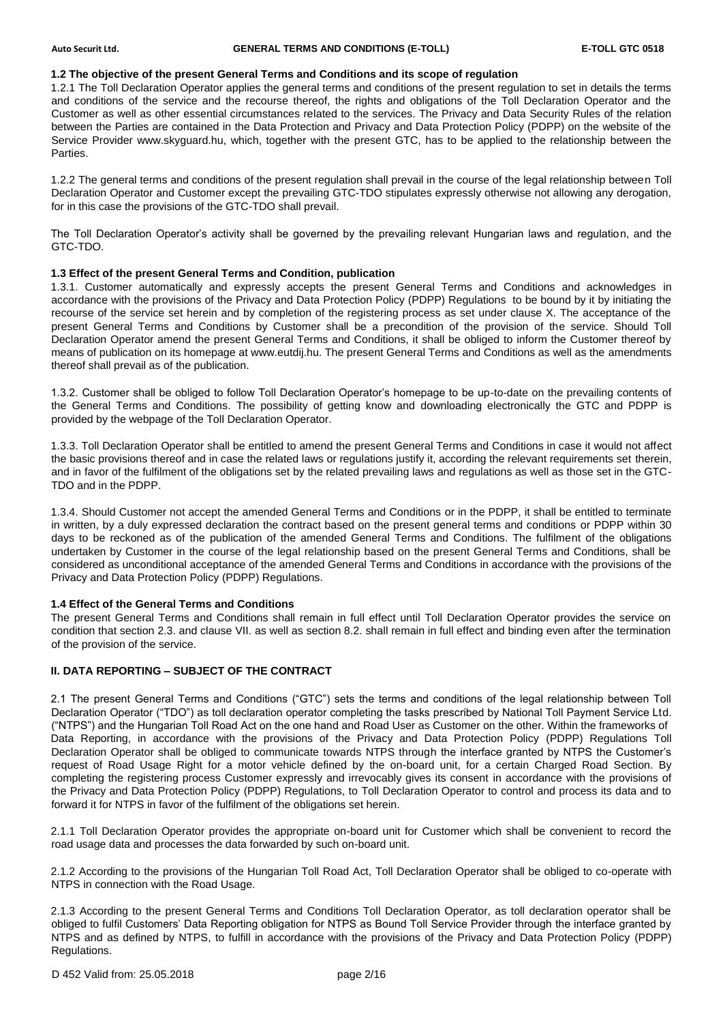# **1.2 The objective of the present General Terms and Conditions and its scope of regulation**

1.2.1 The Toll Declaration Operator applies the general terms and conditions of the present regulation to set in details the terms and conditions of the service and the recourse thereof, the rights and obligations of the Toll Declaration Operator and the Customer as well as other essential circumstances related to the services. The Privacy and Data Security Rules of the relation between the Parties are contained in the Data Protection and Privacy and Data Protection Policy (PDPP) on the website of the Service Provider www.skyguard.hu, which, together with the present GTC, has to be applied to the relationship between the Parties.

1.2.2 The general terms and conditions of the present regulation shall prevail in the course of the legal relationship between Toll Declaration Operator and Customer except the prevailing GTC-TDO stipulates expressly otherwise not allowing any derogation, for in this case the provisions of the GTC-TDO shall prevail.

The Toll Declaration Operator's activity shall be governed by the prevailing relevant Hungarian laws and regulation, and the GTC-TDO.

# **1.3 Effect of the present General Terms and Condition, publication**

1.3.1. Customer automatically and expressly accepts the present General Terms and Conditions and acknowledges in accordance with the provisions of the Privacy and Data Protection Policy (PDPP) Regulations to be bound by it by initiating the recourse of the service set herein and by completion of the registering process as set under clause X. The acceptance of the present General Terms and Conditions by Customer shall be a precondition of the provision of the service. Should Toll Declaration Operator amend the present General Terms and Conditions, it shall be obliged to inform the Customer thereof by means of publication on its homepage at www.eutdij.hu. The present General Terms and Conditions as well as the amendments thereof shall prevail as of the publication.

1.3.2. Customer shall be obliged to follow Toll Declaration Operator's homepage to be up-to-date on the prevailing contents of the General Terms and Conditions. The possibility of getting know and downloading electronically the GTC and PDPP is provided by the webpage of the Toll Declaration Operator.

1.3.3. Toll Declaration Operator shall be entitled to amend the present General Terms and Conditions in case it would not affect the basic provisions thereof and in case the related laws or regulations justify it, according the relevant requirements set therein, and in favor of the fulfilment of the obligations set by the related prevailing laws and regulations as well as those set in the GTC-TDO and in the PDPP.

1.3.4. Should Customer not accept the amended General Terms and Conditions or in the PDPP, it shall be entitled to terminate in written, by a duly expressed declaration the contract based on the present general terms and conditions or PDPP within 30 days to be reckoned as of the publication of the amended General Terms and Conditions. The fulfilment of the obligations undertaken by Customer in the course of the legal relationship based on the present General Terms and Conditions, shall be considered as unconditional acceptance of the amended General Terms and Conditions in accordance with the provisions of the Privacy and Data Protection Policy (PDPP) Regulations.

# **1.4 Effect of the General Terms and Conditions**

The present General Terms and Conditions shall remain in full effect until Toll Declaration Operator provides the service on condition that section 2.3. and clause VII. as well as section 8.2. shall remain in full effect and binding even after the termination of the provision of the service.

# **II. DATA REPORTING – SUBJECT OF THE CONTRACT**

2.1 The present General Terms and Conditions ("GTC") sets the terms and conditions of the legal relationship between Toll Declaration Operator ("TDO") as toll declaration operator completing the tasks prescribed by National Toll Payment Service Ltd. ("NTPS") and the Hungarian Toll Road Act on the one hand and Road User as Customer on the other. Within the frameworks of Data Reporting, in accordance with the provisions of the Privacy and Data Protection Policy (PDPP) Regulations Toll Declaration Operator shall be obliged to communicate towards NTPS through the interface granted by NTPS the Customer's request of Road Usage Right for a motor vehicle defined by the on-board unit, for a certain Charged Road Section. By completing the registering process Customer expressly and irrevocably gives its consent in accordance with the provisions of the Privacy and Data Protection Policy (PDPP) Regulations, to Toll Declaration Operator to control and process its data and to forward it for NTPS in favor of the fulfilment of the obligations set herein.

2.1.1 Toll Declaration Operator provides the appropriate on-board unit for Customer which shall be convenient to record the road usage data and processes the data forwarded by such on-board unit.

2.1.2 According to the provisions of the Hungarian Toll Road Act, Toll Declaration Operator shall be obliged to co-operate with NTPS in connection with the Road Usage.

2.1.3 According to the present General Terms and Conditions Toll Declaration Operator, as toll declaration operator shall be obliged to fulfil Customers' Data Reporting obligation for NTPS as Bound Toll Service Provider through the interface granted by NTPS and as defined by NTPS, to fulfill in accordance with the provisions of the Privacy and Data Protection Policy (PDPP) Regulations.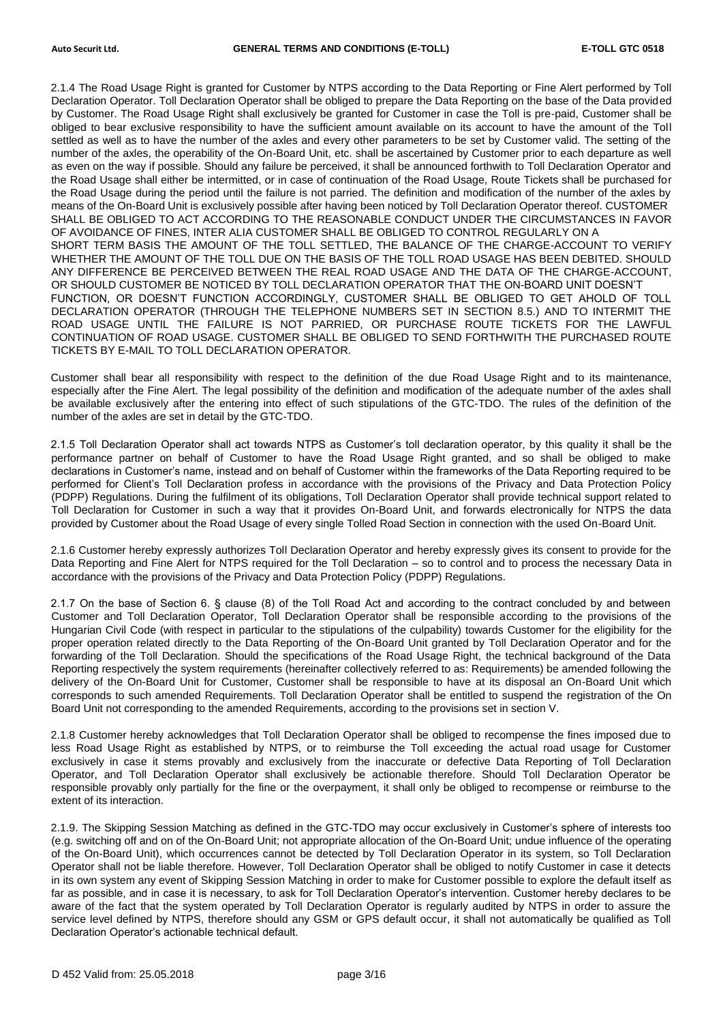2.1.4 The Road Usage Right is granted for Customer by NTPS according to the Data Reporting or Fine Alert performed by Toll Declaration Operator. Toll Declaration Operator shall be obliged to prepare the Data Reporting on the base of the Data provided by Customer. The Road Usage Right shall exclusively be granted for Customer in case the Toll is pre-paid, Customer shall be obliged to bear exclusive responsibility to have the sufficient amount available on its account to have the amount of the Toll settled as well as to have the number of the axles and every other parameters to be set by Customer valid. The setting of the number of the axles, the operability of the On-Board Unit, etc. shall be ascertained by Customer prior to each departure as well as even on the way if possible. Should any failure be perceived, it shall be announced forthwith to Toll Declaration Operator and the Road Usage shall either be intermitted, or in case of continuation of the Road Usage, Route Tickets shall be purchased for the Road Usage during the period until the failure is not parried. The definition and modification of the number of the axles by means of the On-Board Unit is exclusively possible after having been noticed by Toll Declaration Operator thereof. CUSTOMER SHALL BE OBLIGED TO ACT ACCORDING TO THE REASONABLE CONDUCT UNDER THE CIRCUMSTANCES IN FAVOR OF AVOIDANCE OF FINES, INTER ALIA CUSTOMER SHALL BE OBLIGED TO CONTROL REGULARLY ON A SHORT TERM BASIS THE AMOUNT OF THE TOLL SETTLED, THE BALANCE OF THE CHARGE-ACCOUNT TO VERIFY WHETHER THE AMOUNT OF THE TOLL DUE ON THE BASIS OF THE TOLL ROAD USAGE HAS BEEN DEBITED. SHOULD ANY DIFFERENCE BE PERCEIVED BETWEEN THE REAL ROAD USAGE AND THE DATA OF THE CHARGE-ACCOUNT, OR SHOULD CUSTOMER BE NOTICED BY TOLL DECLARATION OPERATOR THAT THE ON-BOARD UNIT DOESN'T FUNCTION, OR DOESN'T FUNCTION ACCORDINGLY, CUSTOMER SHALL BE OBLIGED TO GET AHOLD OF TOLL DECLARATION OPERATOR (THROUGH THE TELEPHONE NUMBERS SET IN SECTION 8.5.) AND TO INTERMIT THE ROAD USAGE UNTIL THE FAILURE IS NOT PARRIED, OR PURCHASE ROUTE TICKETS FOR THE LAWFUL CONTINUATION OF ROAD USAGE. CUSTOMER SHALL BE OBLIGED TO SEND FORTHWITH THE PURCHASED ROUTE TICKETS BY E-MAIL TO TOLL DECLARATION OPERATOR.

Customer shall bear all responsibility with respect to the definition of the due Road Usage Right and to its maintenance, especially after the Fine Alert. The legal possibility of the definition and modification of the adequate number of the axles shall be available exclusively after the entering into effect of such stipulations of the GTC-TDO. The rules of the definition of the number of the axles are set in detail by the GTC-TDO.

2.1.5 Toll Declaration Operator shall act towards NTPS as Customer's toll declaration operator, by this quality it shall be the performance partner on behalf of Customer to have the Road Usage Right granted, and so shall be obliged to make declarations in Customer's name, instead and on behalf of Customer within the frameworks of the Data Reporting required to be performed for Client's Toll Declaration profess in accordance with the provisions of the Privacy and Data Protection Policy (PDPP) Regulations. During the fulfilment of its obligations, Toll Declaration Operator shall provide technical support related to Toll Declaration for Customer in such a way that it provides On-Board Unit, and forwards electronically for NTPS the data provided by Customer about the Road Usage of every single Tolled Road Section in connection with the used On-Board Unit.

2.1.6 Customer hereby expressly authorizes Toll Declaration Operator and hereby expressly gives its consent to provide for the Data Reporting and Fine Alert for NTPS required for the Toll Declaration – so to control and to process the necessary Data in accordance with the provisions of the Privacy and Data Protection Policy (PDPP) Regulations.

2.1.7 On the base of Section 6. § clause (8) of the Toll Road Act and according to the contract concluded by and between Customer and Toll Declaration Operator, Toll Declaration Operator shall be responsible according to the provisions of the Hungarian Civil Code (with respect in particular to the stipulations of the culpability) towards Customer for the eligibility for the proper operation related directly to the Data Reporting of the On-Board Unit granted by Toll Declaration Operator and for the forwarding of the Toll Declaration. Should the specifications of the Road Usage Right, the technical background of the Data Reporting respectively the system requirements (hereinafter collectively referred to as: Requirements) be amended following the delivery of the On-Board Unit for Customer, Customer shall be responsible to have at its disposal an On-Board Unit which corresponds to such amended Requirements. Toll Declaration Operator shall be entitled to suspend the registration of the On Board Unit not corresponding to the amended Requirements, according to the provisions set in section V.

2.1.8 Customer hereby acknowledges that Toll Declaration Operator shall be obliged to recompense the fines imposed due to less Road Usage Right as established by NTPS, or to reimburse the Toll exceeding the actual road usage for Customer exclusively in case it stems provably and exclusively from the inaccurate or defective Data Reporting of Toll Declaration Operator, and Toll Declaration Operator shall exclusively be actionable therefore. Should Toll Declaration Operator be responsible provably only partially for the fine or the overpayment, it shall only be obliged to recompense or reimburse to the extent of its interaction.

2.1.9. The Skipping Session Matching as defined in the GTC-TDO may occur exclusively in Customer's sphere of interests too (e.g. switching off and on of the On-Board Unit; not appropriate allocation of the On-Board Unit; undue influence of the operating of the On-Board Unit), which occurrences cannot be detected by Toll Declaration Operator in its system, so Toll Declaration Operator shall not be liable therefore. However, Toll Declaration Operator shall be obliged to notify Customer in case it detects in its own system any event of Skipping Session Matching in order to make for Customer possible to explore the default itself as far as possible, and in case it is necessary, to ask for Toll Declaration Operator's intervention. Customer hereby declares to be aware of the fact that the system operated by Toll Declaration Operator is regularly audited by NTPS in order to assure the service level defined by NTPS, therefore should any GSM or GPS default occur, it shall not automatically be qualified as Toll Declaration Operator's actionable technical default.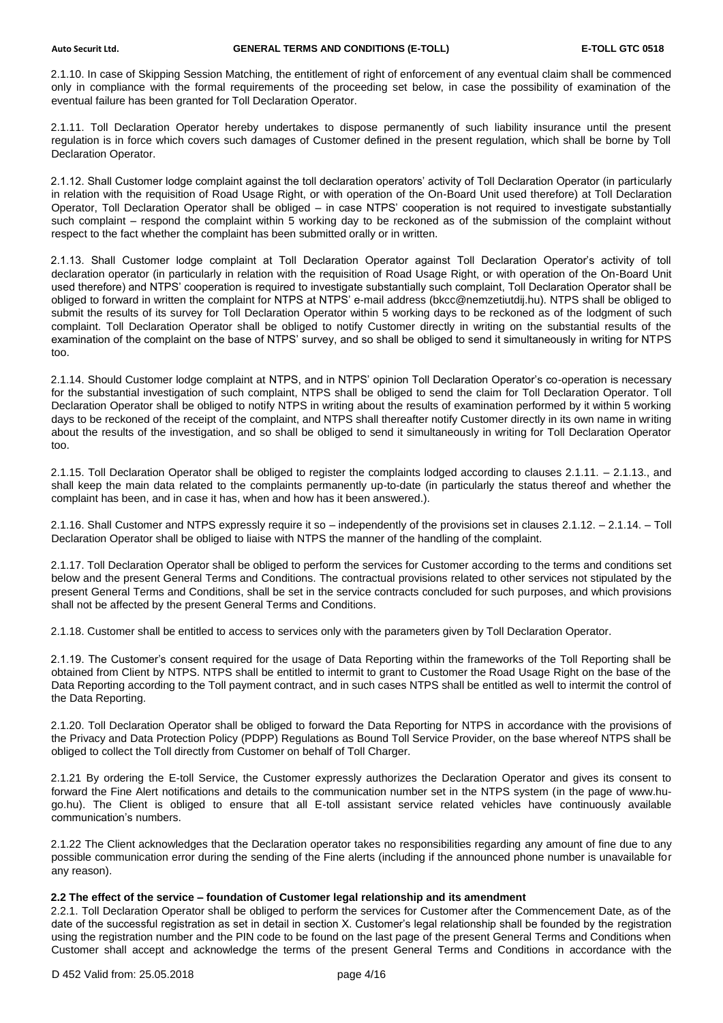2.1.10. In case of Skipping Session Matching, the entitlement of right of enforcement of any eventual claim shall be commenced only in compliance with the formal requirements of the proceeding set below, in case the possibility of examination of the eventual failure has been granted for Toll Declaration Operator.

2.1.11. Toll Declaration Operator hereby undertakes to dispose permanently of such liability insurance until the present regulation is in force which covers such damages of Customer defined in the present regulation, which shall be borne by Toll Declaration Operator.

2.1.12. Shall Customer lodge complaint against the toll declaration operators' activity of Toll Declaration Operator (in particularly in relation with the requisition of Road Usage Right, or with operation of the On-Board Unit used therefore) at Toll Declaration Operator, Toll Declaration Operator shall be obliged – in case NTPS' cooperation is not required to investigate substantially such complaint – respond the complaint within 5 working day to be reckoned as of the submission of the complaint without respect to the fact whether the complaint has been submitted orally or in written.

2.1.13. Shall Customer lodge complaint at Toll Declaration Operator against Toll Declaration Operator's activity of toll declaration operator (in particularly in relation with the requisition of Road Usage Right, or with operation of the On-Board Unit used therefore) and NTPS' cooperation is required to investigate substantially such complaint, Toll Declaration Operator shall be obliged to forward in written the complaint for NTPS at NTPS' e-mail address (bkcc@nemzetiutdij.hu). NTPS shall be obliged to submit the results of its survey for Toll Declaration Operator within 5 working days to be reckoned as of the lodgment of such complaint. Toll Declaration Operator shall be obliged to notify Customer directly in writing on the substantial results of the examination of the complaint on the base of NTPS' survey, and so shall be obliged to send it simultaneously in writing for NTPS too.

2.1.14. Should Customer lodge complaint at NTPS, and in NTPS' opinion Toll Declaration Operator's co-operation is necessary for the substantial investigation of such complaint, NTPS shall be obliged to send the claim for Toll Declaration Operator. Toll Declaration Operator shall be obliged to notify NTPS in writing about the results of examination performed by it within 5 working days to be reckoned of the receipt of the complaint, and NTPS shall thereafter notify Customer directly in its own name in writing about the results of the investigation, and so shall be obliged to send it simultaneously in writing for Toll Declaration Operator too.

2.1.15. Toll Declaration Operator shall be obliged to register the complaints lodged according to clauses 2.1.11. – 2.1.13., and shall keep the main data related to the complaints permanently up-to-date (in particularly the status thereof and whether the complaint has been, and in case it has, when and how has it been answered.).

2.1.16. Shall Customer and NTPS expressly require it so – independently of the provisions set in clauses 2.1.12. – 2.1.14. – Toll Declaration Operator shall be obliged to liaise with NTPS the manner of the handling of the complaint.

2.1.17. Toll Declaration Operator shall be obliged to perform the services for Customer according to the terms and conditions set below and the present General Terms and Conditions. The contractual provisions related to other services not stipulated by the present General Terms and Conditions, shall be set in the service contracts concluded for such purposes, and which provisions shall not be affected by the present General Terms and Conditions.

2.1.18. Customer shall be entitled to access to services only with the parameters given by Toll Declaration Operator.

2.1.19. The Customer's consent required for the usage of Data Reporting within the frameworks of the Toll Reporting shall be obtained from Client by NTPS. NTPS shall be entitled to intermit to grant to Customer the Road Usage Right on the base of the Data Reporting according to the Toll payment contract, and in such cases NTPS shall be entitled as well to intermit the control of the Data Reporting.

2.1.20. Toll Declaration Operator shall be obliged to forward the Data Reporting for NTPS in accordance with the provisions of the Privacy and Data Protection Policy (PDPP) Regulations as Bound Toll Service Provider, on the base whereof NTPS shall be obliged to collect the Toll directly from Customer on behalf of Toll Charger.

2.1.21 By ordering the E-toll Service, the Customer expressly authorizes the Declaration Operator and gives its consent to forward the Fine Alert notifications and details to the communication number set in the NTPS system (in the page of [www.hu](http://www.hu-go.hu/)[go.hu\)](http://www.hu-go.hu/). The Client is obliged to ensure that all E-toll assistant service related vehicles have continuously available communication's numbers.

2.1.22 The Client acknowledges that the Declaration operator takes no responsibilities regarding any amount of fine due to any possible communication error during the sending of the Fine alerts (including if the announced phone number is unavailable for any reason).

# **2.2 The effect of the service – foundation of Customer legal relationship and its amendment**

2.2.1. Toll Declaration Operator shall be obliged to perform the services for Customer after the Commencement Date, as of the date of the successful registration as set in detail in section X. Customer's legal relationship shall be founded by the registration using the registration number and the PIN code to be found on the last page of the present General Terms and Conditions when Customer shall accept and acknowledge the terms of the present General Terms and Conditions in accordance with the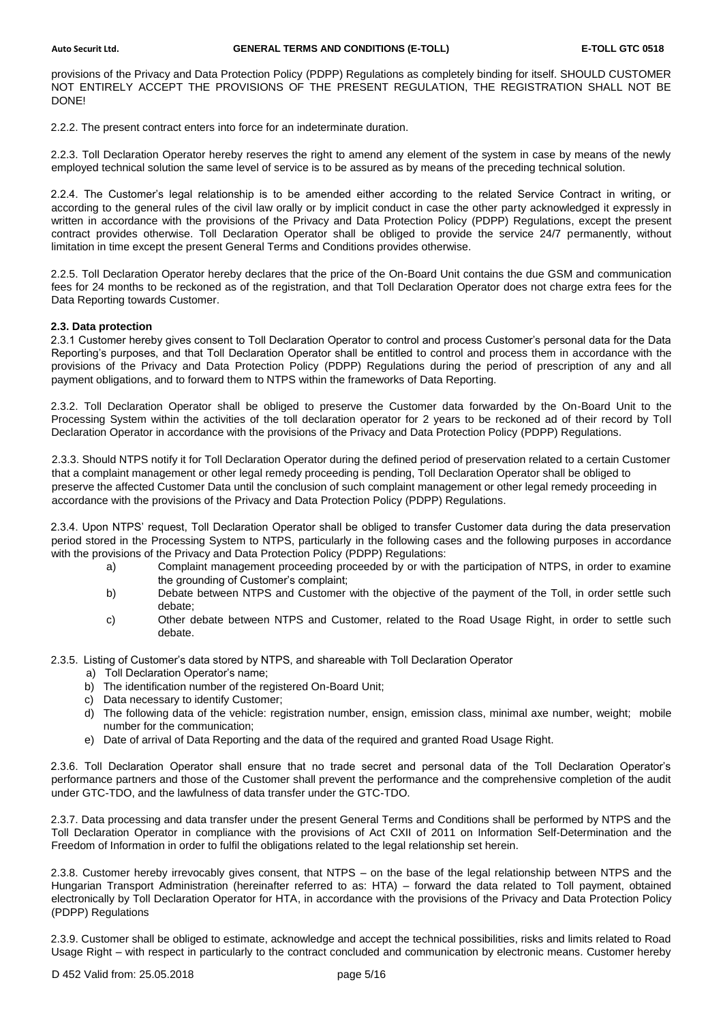provisions of the Privacy and Data Protection Policy (PDPP) Regulations as completely binding for itself. SHOULD CUSTOMER NOT ENTIRELY ACCEPT THE PROVISIONS OF THE PRESENT REGULATION, THE REGISTRATION SHALL NOT BE DONE!

2.2.2. The present contract enters into force for an indeterminate duration.

2.2.3. Toll Declaration Operator hereby reserves the right to amend any element of the system in case by means of the newly employed technical solution the same level of service is to be assured as by means of the preceding technical solution.

2.2.4. The Customer's legal relationship is to be amended either according to the related Service Contract in writing, or according to the general rules of the civil law orally or by implicit conduct in case the other party acknowledged it expressly in written in accordance with the provisions of the Privacy and Data Protection Policy (PDPP) Regulations, except the present contract provides otherwise. Toll Declaration Operator shall be obliged to provide the service 24/7 permanently, without limitation in time except the present General Terms and Conditions provides otherwise.

2.2.5. Toll Declaration Operator hereby declares that the price of the On-Board Unit contains the due GSM and communication fees for 24 months to be reckoned as of the registration, and that Toll Declaration Operator does not charge extra fees for the Data Reporting towards Customer.

# **2.3. Data protection**

2.3.1 Customer hereby gives consent to Toll Declaration Operator to control and process Customer's personal data for the Data Reporting's purposes, and that Toll Declaration Operator shall be entitled to control and process them in accordance with the provisions of the Privacy and Data Protection Policy (PDPP) Regulations during the period of prescription of any and all payment obligations, and to forward them to NTPS within the frameworks of Data Reporting.

2.3.2. Toll Declaration Operator shall be obliged to preserve the Customer data forwarded by the On-Board Unit to the Processing System within the activities of the toll declaration operator for 2 years to be reckoned ad of their record by Toll Declaration Operator in accordance with the provisions of the Privacy and Data Protection Policy (PDPP) Regulations.

2.3.3. Should NTPS notify it for Toll Declaration Operator during the defined period of preservation related to a certain Customer that a complaint management or other legal remedy proceeding is pending, Toll Declaration Operator shall be obliged to preserve the affected Customer Data until the conclusion of such complaint management or other legal remedy proceeding in accordance with the provisions of the Privacy and Data Protection Policy (PDPP) Regulations.

2.3.4. Upon NTPS' request, Toll Declaration Operator shall be obliged to transfer Customer data during the data preservation period stored in the Processing System to NTPS, particularly in the following cases and the following purposes in accordance with the provisions of the Privacy and Data Protection Policy (PDPP) Regulations:

- a) Complaint management proceeding proceeded by or with the participation of NTPS, in order to examine the grounding of Customer's complaint;
- b) Debate between NTPS and Customer with the objective of the payment of the Toll, in order settle such debate;
- c) Other debate between NTPS and Customer, related to the Road Usage Right, in order to settle such debate.

2.3.5. Listing of Customer's data stored by NTPS, and shareable with Toll Declaration Operator

- a) Toll Declaration Operator's name;
- b) The identification number of the registered On-Board Unit;
- c) Data necessary to identify Customer;
- d) The following data of the vehicle: registration number, ensign, emission class, minimal axe number, weight; mobile number for the communication;
- e) Date of arrival of Data Reporting and the data of the required and granted Road Usage Right.

2.3.6. Toll Declaration Operator shall ensure that no trade secret and personal data of the Toll Declaration Operator's performance partners and those of the Customer shall prevent the performance and the comprehensive completion of the audit under GTC-TDO, and the lawfulness of data transfer under the GTC-TDO.

2.3.7. Data processing and data transfer under the present General Terms and Conditions shall be performed by NTPS and the Toll Declaration Operator in compliance with the provisions of Act CXII of 2011 on Information Self-Determination and the Freedom of Information in order to fulfil the obligations related to the legal relationship set herein.

2.3.8. Customer hereby irrevocably gives consent, that NTPS – on the base of the legal relationship between NTPS and the Hungarian Transport Administration (hereinafter referred to as: HTA) – forward the data related to Toll payment, obtained electronically by Toll Declaration Operator for HTA, in accordance with the provisions of the Privacy and Data Protection Policy (PDPP) Regulations

2.3.9. Customer shall be obliged to estimate, acknowledge and accept the technical possibilities, risks and limits related to Road Usage Right – with respect in particularly to the contract concluded and communication by electronic means. Customer hereby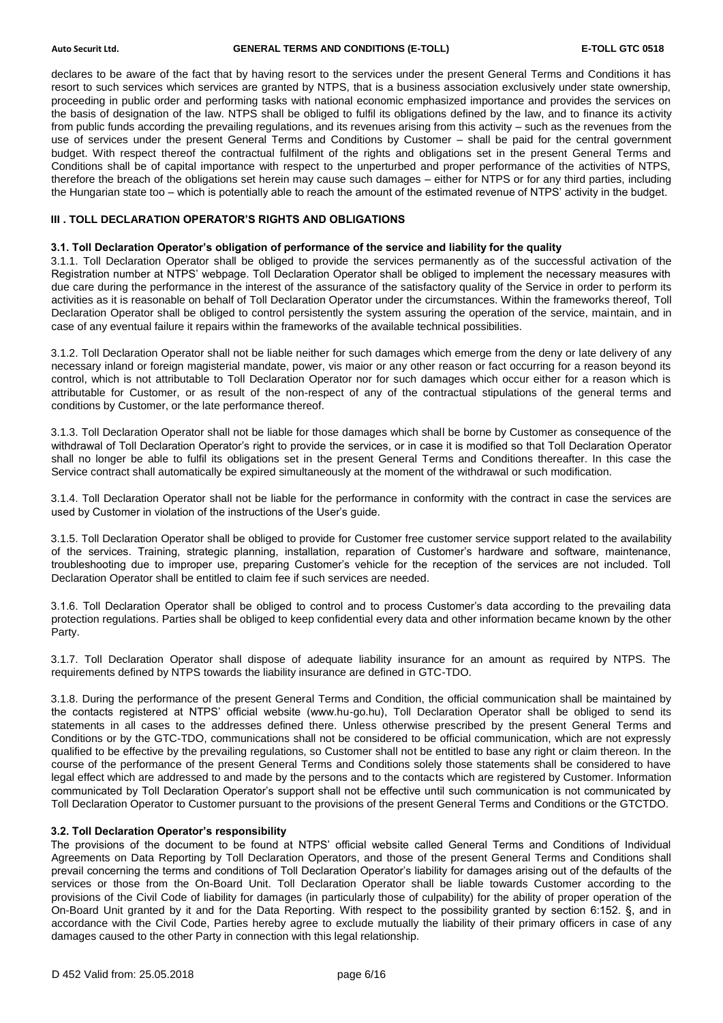declares to be aware of the fact that by having resort to the services under the present General Terms and Conditions it has resort to such services which services are granted by NTPS, that is a business association exclusively under state ownership, proceeding in public order and performing tasks with national economic emphasized importance and provides the services on the basis of designation of the law. NTPS shall be obliged to fulfil its obligations defined by the law, and to finance its activity from public funds according the prevailing regulations, and its revenues arising from this activity – such as the revenues from the use of services under the present General Terms and Conditions by Customer – shall be paid for the central government budget. With respect thereof the contractual fulfilment of the rights and obligations set in the present General Terms and Conditions shall be of capital importance with respect to the unperturbed and proper performance of the activities of NTPS, therefore the breach of the obligations set herein may cause such damages – either for NTPS or for any third parties, including the Hungarian state too – which is potentially able to reach the amount of the estimated revenue of NTPS' activity in the budget.

# **III . TOLL DECLARATION OPERATOR'S RIGHTS AND OBLIGATIONS**

### **3.1. Toll Declaration Operator's obligation of performance of the service and liability for the quality**

3.1.1. Toll Declaration Operator shall be obliged to provide the services permanently as of the successful activation of the Registration number at NTPS' webpage. Toll Declaration Operator shall be obliged to implement the necessary measures with due care during the performance in the interest of the assurance of the satisfactory quality of the Service in order to perform its activities as it is reasonable on behalf of Toll Declaration Operator under the circumstances. Within the frameworks thereof, Toll Declaration Operator shall be obliged to control persistently the system assuring the operation of the service, maintain, and in case of any eventual failure it repairs within the frameworks of the available technical possibilities.

3.1.2. Toll Declaration Operator shall not be liable neither for such damages which emerge from the deny or late delivery of any necessary inland or foreign magisterial mandate, power, vis maior or any other reason or fact occurring for a reason beyond its control, which is not attributable to Toll Declaration Operator nor for such damages which occur either for a reason which is attributable for Customer, or as result of the non-respect of any of the contractual stipulations of the general terms and conditions by Customer, or the late performance thereof.

3.1.3. Toll Declaration Operator shall not be liable for those damages which shall be borne by Customer as consequence of the withdrawal of Toll Declaration Operator's right to provide the services, or in case it is modified so that Toll Declaration Operator shall no longer be able to fulfil its obligations set in the present General Terms and Conditions thereafter. In this case the Service contract shall automatically be expired simultaneously at the moment of the withdrawal or such modification.

3.1.4. Toll Declaration Operator shall not be liable for the performance in conformity with the contract in case the services are used by Customer in violation of the instructions of the User's guide.

3.1.5. Toll Declaration Operator shall be obliged to provide for Customer free customer service support related to the availability of the services. Training, strategic planning, installation, reparation of Customer's hardware and software, maintenance, troubleshooting due to improper use, preparing Customer's vehicle for the reception of the services are not included. Toll Declaration Operator shall be entitled to claim fee if such services are needed.

3.1.6. Toll Declaration Operator shall be obliged to control and to process Customer's data according to the prevailing data protection regulations. Parties shall be obliged to keep confidential every data and other information became known by the other Party.

3.1.7. Toll Declaration Operator shall dispose of adequate liability insurance for an amount as required by NTPS. The requirements defined by NTPS towards the liability insurance are defined in GTC-TDO.

3.1.8. During the performance of the present General Terms and Condition, the official communication shall be maintained by the contacts registered at NTPS' official website (www.hu-go.hu), Toll Declaration Operator shall be obliged to send its statements in all cases to the addresses defined there. Unless otherwise prescribed by the present General Terms and Conditions or by the GTC-TDO, communications shall not be considered to be official communication, which are not expressly qualified to be effective by the prevailing regulations, so Customer shall not be entitled to base any right or claim thereon. In the course of the performance of the present General Terms and Conditions solely those statements shall be considered to have legal effect which are addressed to and made by the persons and to the contacts which are registered by Customer. Information communicated by Toll Declaration Operator's support shall not be effective until such communication is not communicated by Toll Declaration Operator to Customer pursuant to the provisions of the present General Terms and Conditions or the GTCTDO.

# **3.2. Toll Declaration Operator's responsibility**

The provisions of the document to be found at NTPS' official website called General Terms and Conditions of Individual Agreements on Data Reporting by Toll Declaration Operators, and those of the present General Terms and Conditions shall prevail concerning the terms and conditions of Toll Declaration Operator's liability for damages arising out of the defaults of the services or those from the On-Board Unit. Toll Declaration Operator shall be liable towards Customer according to the provisions of the Civil Code of liability for damages (in particularly those of culpability) for the ability of proper operation of the On-Board Unit granted by it and for the Data Reporting. With respect to the possibility granted by section 6:152. §, and in accordance with the Civil Code, Parties hereby agree to exclude mutually the liability of their primary officers in case of any damages caused to the other Party in connection with this legal relationship.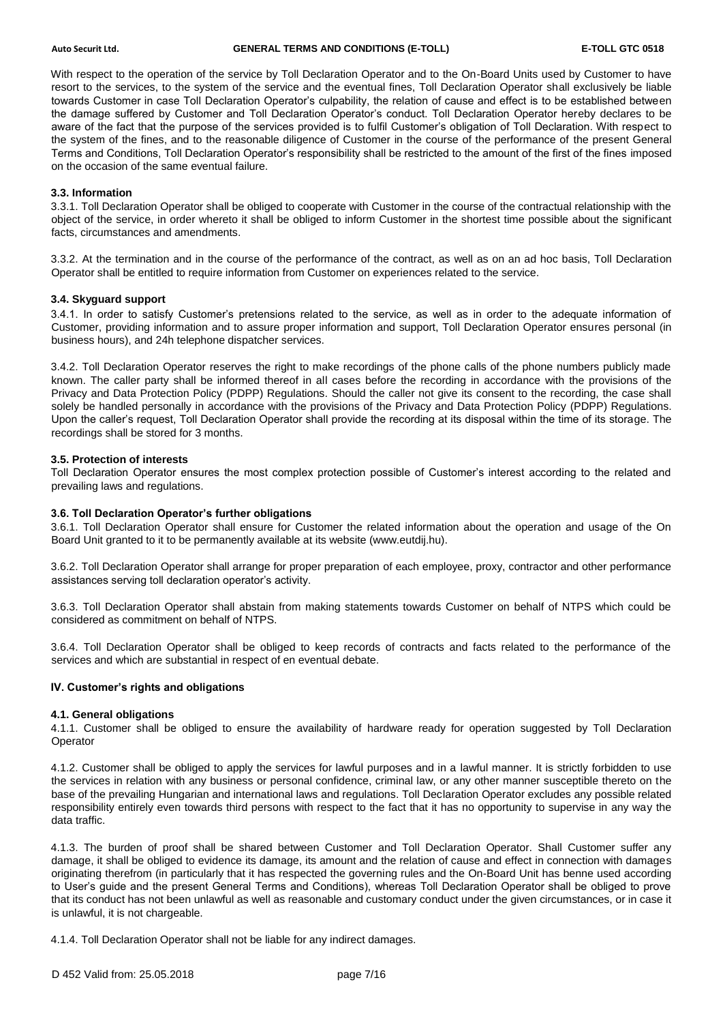With respect to the operation of the service by Toll Declaration Operator and to the On-Board Units used by Customer to have resort to the services, to the system of the service and the eventual fines, Toll Declaration Operator shall exclusively be liable towards Customer in case Toll Declaration Operator's culpability, the relation of cause and effect is to be established between the damage suffered by Customer and Toll Declaration Operator's conduct. Toll Declaration Operator hereby declares to be aware of the fact that the purpose of the services provided is to fulfil Customer's obligation of Toll Declaration. With respect to the system of the fines, and to the reasonable diligence of Customer in the course of the performance of the present General Terms and Conditions, Toll Declaration Operator's responsibility shall be restricted to the amount of the first of the fines imposed on the occasion of the same eventual failure.

# **3.3. Information**

3.3.1. Toll Declaration Operator shall be obliged to cooperate with Customer in the course of the contractual relationship with the object of the service, in order whereto it shall be obliged to inform Customer in the shortest time possible about the significant facts, circumstances and amendments.

3.3.2. At the termination and in the course of the performance of the contract, as well as on an ad hoc basis, Toll Declaration Operator shall be entitled to require information from Customer on experiences related to the service.

# **3.4. Skyguard support**

3.4.1. In order to satisfy Customer's pretensions related to the service, as well as in order to the adequate information of Customer, providing information and to assure proper information and support, Toll Declaration Operator ensures personal (in business hours), and 24h telephone dispatcher services.

3.4.2. Toll Declaration Operator reserves the right to make recordings of the phone calls of the phone numbers publicly made known. The caller party shall be informed thereof in all cases before the recording in accordance with the provisions of the Privacy and Data Protection Policy (PDPP) Regulations. Should the caller not give its consent to the recording, the case shall solely be handled personally in accordance with the provisions of the Privacy and Data Protection Policy (PDPP) Regulations. Upon the caller's request, Toll Declaration Operator shall provide the recording at its disposal within the time of its storage. The recordings shall be stored for 3 months.

#### **3.5. Protection of interests**

Toll Declaration Operator ensures the most complex protection possible of Customer's interest according to the related and prevailing laws and regulations.

#### **3.6. Toll Declaration Operator's further obligations**

3.6.1. Toll Declaration Operator shall ensure for Customer the related information about the operation and usage of the On Board Unit granted to it to be permanently available at its website (www.eutdij.hu).

3.6.2. Toll Declaration Operator shall arrange for proper preparation of each employee, proxy, contractor and other performance assistances serving toll declaration operator's activity.

3.6.3. Toll Declaration Operator shall abstain from making statements towards Customer on behalf of NTPS which could be considered as commitment on behalf of NTPS.

3.6.4. Toll Declaration Operator shall be obliged to keep records of contracts and facts related to the performance of the services and which are substantial in respect of en eventual debate.

#### **IV. Customer's rights and obligations**

#### **4.1. General obligations**

4.1.1. Customer shall be obliged to ensure the availability of hardware ready for operation suggested by Toll Declaration Operator

4.1.2. Customer shall be obliged to apply the services for lawful purposes and in a lawful manner. It is strictly forbidden to use the services in relation with any business or personal confidence, criminal law, or any other manner susceptible thereto on the base of the prevailing Hungarian and international laws and regulations. Toll Declaration Operator excludes any possible related responsibility entirely even towards third persons with respect to the fact that it has no opportunity to supervise in any way the data traffic.

4.1.3. The burden of proof shall be shared between Customer and Toll Declaration Operator. Shall Customer suffer any damage, it shall be obliged to evidence its damage, its amount and the relation of cause and effect in connection with damages originating therefrom (in particularly that it has respected the governing rules and the On-Board Unit has benne used according to User's guide and the present General Terms and Conditions), whereas Toll Declaration Operator shall be obliged to prove that its conduct has not been unlawful as well as reasonable and customary conduct under the given circumstances, or in case it is unlawful, it is not chargeable.

4.1.4. Toll Declaration Operator shall not be liable for any indirect damages.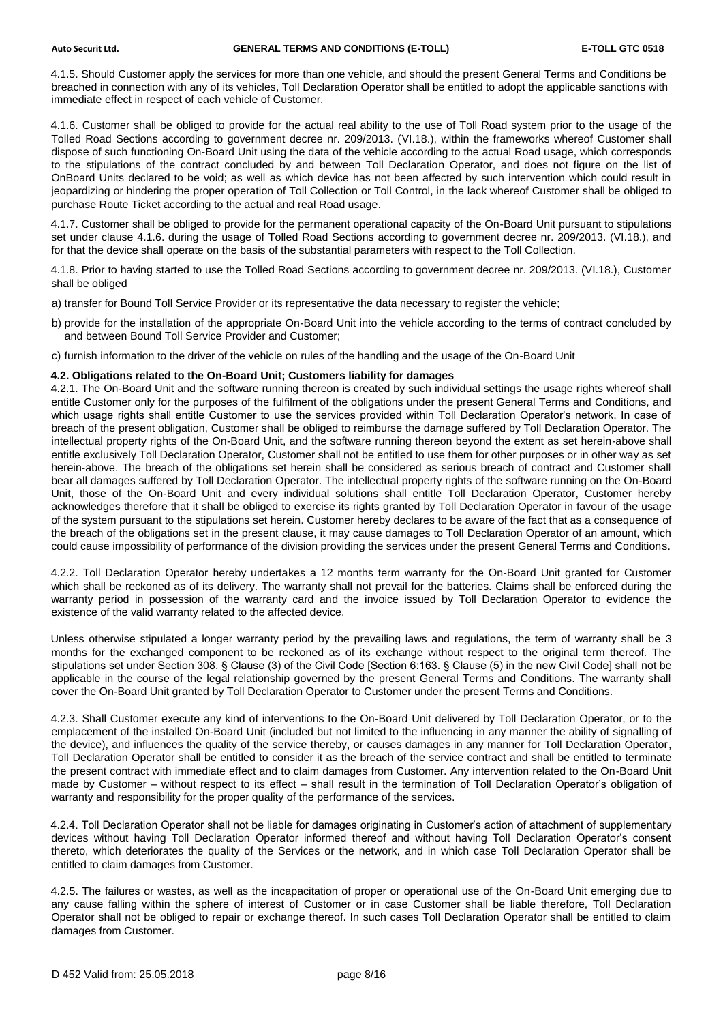4.1.5. Should Customer apply the services for more than one vehicle, and should the present General Terms and Conditions be breached in connection with any of its vehicles, Toll Declaration Operator shall be entitled to adopt the applicable sanctions with immediate effect in respect of each vehicle of Customer.

4.1.6. Customer shall be obliged to provide for the actual real ability to the use of Toll Road system prior to the usage of the Tolled Road Sections according to government decree nr. 209/2013. (VI.18.), within the frameworks whereof Customer shall dispose of such functioning On-Board Unit using the data of the vehicle according to the actual Road usage, which corresponds to the stipulations of the contract concluded by and between Toll Declaration Operator, and does not figure on the list of OnBoard Units declared to be void; as well as which device has not been affected by such intervention which could result in jeopardizing or hindering the proper operation of Toll Collection or Toll Control, in the lack whereof Customer shall be obliged to purchase Route Ticket according to the actual and real Road usage.

4.1.7. Customer shall be obliged to provide for the permanent operational capacity of the On-Board Unit pursuant to stipulations set under clause 4.1.6. during the usage of Tolled Road Sections according to government decree nr. 209/2013. (VI.18.), and for that the device shall operate on the basis of the substantial parameters with respect to the Toll Collection.

4.1.8. Prior to having started to use the Tolled Road Sections according to government decree nr. 209/2013. (VI.18.), Customer shall be obliged

a) transfer for Bound Toll Service Provider or its representative the data necessary to register the vehicle;

b) provide for the installation of the appropriate On-Board Unit into the vehicle according to the terms of contract concluded by and between Bound Toll Service Provider and Customer;

c) furnish information to the driver of the vehicle on rules of the handling and the usage of the On-Board Unit

#### **4.2. Obligations related to the On-Board Unit; Customers liability for damages**

4.2.1. The On-Board Unit and the software running thereon is created by such individual settings the usage rights whereof shall entitle Customer only for the purposes of the fulfilment of the obligations under the present General Terms and Conditions, and which usage rights shall entitle Customer to use the services provided within Toll Declaration Operator's network. In case of breach of the present obligation, Customer shall be obliged to reimburse the damage suffered by Toll Declaration Operator. The intellectual property rights of the On-Board Unit, and the software running thereon beyond the extent as set herein-above shall entitle exclusively Toll Declaration Operator, Customer shall not be entitled to use them for other purposes or in other way as set herein-above. The breach of the obligations set herein shall be considered as serious breach of contract and Customer shall bear all damages suffered by Toll Declaration Operator. The intellectual property rights of the software running on the On-Board Unit, those of the On-Board Unit and every individual solutions shall entitle Toll Declaration Operator, Customer hereby acknowledges therefore that it shall be obliged to exercise its rights granted by Toll Declaration Operator in favour of the usage of the system pursuant to the stipulations set herein. Customer hereby declares to be aware of the fact that as a consequence of the breach of the obligations set in the present clause, it may cause damages to Toll Declaration Operator of an amount, which could cause impossibility of performance of the division providing the services under the present General Terms and Conditions.

4.2.2. Toll Declaration Operator hereby undertakes a 12 months term warranty for the On-Board Unit granted for Customer which shall be reckoned as of its delivery. The warranty shall not prevail for the batteries. Claims shall be enforced during the warranty period in possession of the warranty card and the invoice issued by Toll Declaration Operator to evidence the existence of the valid warranty related to the affected device.

Unless otherwise stipulated a longer warranty period by the prevailing laws and regulations, the term of warranty shall be 3 months for the exchanged component to be reckoned as of its exchange without respect to the original term thereof. The stipulations set under Section 308. § Clause (3) of the Civil Code [Section 6:163. § Clause (5) in the new Civil Code] shall not be applicable in the course of the legal relationship governed by the present General Terms and Conditions. The warranty shall cover the On-Board Unit granted by Toll Declaration Operator to Customer under the present Terms and Conditions.

4.2.3. Shall Customer execute any kind of interventions to the On-Board Unit delivered by Toll Declaration Operator, or to the emplacement of the installed On-Board Unit (included but not limited to the influencing in any manner the ability of signalling of the device), and influences the quality of the service thereby, or causes damages in any manner for Toll Declaration Operator, Toll Declaration Operator shall be entitled to consider it as the breach of the service contract and shall be entitled to terminate the present contract with immediate effect and to claim damages from Customer. Any intervention related to the On-Board Unit made by Customer – without respect to its effect – shall result in the termination of Toll Declaration Operator's obligation of warranty and responsibility for the proper quality of the performance of the services.

4.2.4. Toll Declaration Operator shall not be liable for damages originating in Customer's action of attachment of supplementary devices without having Toll Declaration Operator informed thereof and without having Toll Declaration Operator's consent thereto, which deteriorates the quality of the Services or the network, and in which case Toll Declaration Operator shall be entitled to claim damages from Customer.

4.2.5. The failures or wastes, as well as the incapacitation of proper or operational use of the On-Board Unit emerging due to any cause falling within the sphere of interest of Customer or in case Customer shall be liable therefore, Toll Declaration Operator shall not be obliged to repair or exchange thereof. In such cases Toll Declaration Operator shall be entitled to claim damages from Customer.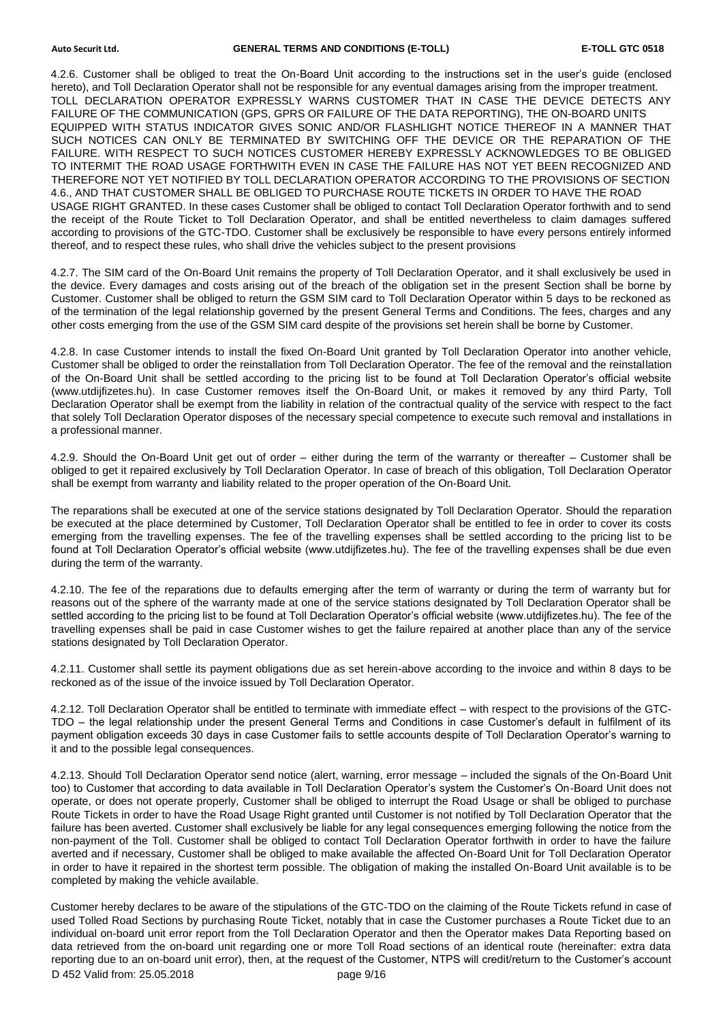4.2.6. Customer shall be obliged to treat the On-Board Unit according to the instructions set in the user's guide (enclosed hereto), and Toll Declaration Operator shall not be responsible for any eventual damages arising from the improper treatment. TOLL DECLARATION OPERATOR EXPRESSLY WARNS CUSTOMER THAT IN CASE THE DEVICE DETECTS ANY FAILURE OF THE COMMUNICATION (GPS, GPRS OR FAILURE OF THE DATA REPORTING), THE ON-BOARD UNITS EQUIPPED WITH STATUS INDICATOR GIVES SONIC AND/OR FLASHLIGHT NOTICE THEREOF IN A MANNER THAT SUCH NOTICES CAN ONLY BE TERMINATED BY SWITCHING OFF THE DEVICE OR THE REPARATION OF THE FAILURE. WITH RESPECT TO SUCH NOTICES CUSTOMER HEREBY EXPRESSLY ACKNOWLEDGES TO BE OBLIGED TO INTERMIT THE ROAD USAGE FORTHWITH EVEN IN CASE THE FAILURE HAS NOT YET BEEN RECOGNIZED AND THEREFORE NOT YET NOTIFIED BY TOLL DECLARATION OPERATOR ACCORDING TO THE PROVISIONS OF SECTION 4.6., AND THAT CUSTOMER SHALL BE OBLIGED TO PURCHASE ROUTE TICKETS IN ORDER TO HAVE THE ROAD USAGE RIGHT GRANTED. In these cases Customer shall be obliged to contact Toll Declaration Operator forthwith and to send the receipt of the Route Ticket to Toll Declaration Operator, and shall be entitled nevertheless to claim damages suffered according to provisions of the GTC-TDO. Customer shall be exclusively be responsible to have every persons entirely informed thereof, and to respect these rules, who shall drive the vehicles subject to the present provisions

4.2.7. The SIM card of the On-Board Unit remains the property of Toll Declaration Operator, and it shall exclusively be used in the device. Every damages and costs arising out of the breach of the obligation set in the present Section shall be borne by Customer. Customer shall be obliged to return the GSM SIM card to Toll Declaration Operator within 5 days to be reckoned as of the termination of the legal relationship governed by the present General Terms and Conditions. The fees, charges and any other costs emerging from the use of the GSM SIM card despite of the provisions set herein shall be borne by Customer.

4.2.8. In case Customer intends to install the fixed On-Board Unit granted by Toll Declaration Operator into another vehicle, Customer shall be obliged to order the reinstallation from Toll Declaration Operator. The fee of the removal and the reinstallation of the On-Board Unit shall be settled according to the pricing list to be found at Toll Declaration Operator's official website (www.utdijfizetes.hu). In case Customer removes itself the On-Board Unit, or makes it removed by any third Party, Toll Declaration Operator shall be exempt from the liability in relation of the contractual quality of the service with respect to the fact that solely Toll Declaration Operator disposes of the necessary special competence to execute such removal and installations in a professional manner.

4.2.9. Should the On-Board Unit get out of order – either during the term of the warranty or thereafter – Customer shall be obliged to get it repaired exclusively by Toll Declaration Operator. In case of breach of this obligation, Toll Declaration Operator shall be exempt from warranty and liability related to the proper operation of the On-Board Unit.

The reparations shall be executed at one of the service stations designated by Toll Declaration Operator. Should the reparation be executed at the place determined by Customer, Toll Declaration Operator shall be entitled to fee in order to cover its costs emerging from the travelling expenses. The fee of the travelling expenses shall be settled according to the pricing list to be found at Toll Declaration Operator's official website (www.utdijfizetes.hu). The fee of the travelling expenses shall be due even during the term of the warranty.

4.2.10. The fee of the reparations due to defaults emerging after the term of warranty or during the term of warranty but for reasons out of the sphere of the warranty made at one of the service stations designated by Toll Declaration Operator shall be settled according to the pricing list to be found at Toll Declaration Operator's official website (www.utdijfizetes.hu). The fee of the travelling expenses shall be paid in case Customer wishes to get the failure repaired at another place than any of the service stations designated by Toll Declaration Operator.

4.2.11. Customer shall settle its payment obligations due as set herein-above according to the invoice and within 8 days to be reckoned as of the issue of the invoice issued by Toll Declaration Operator.

4.2.12. Toll Declaration Operator shall be entitled to terminate with immediate effect – with respect to the provisions of the GTC-TDO – the legal relationship under the present General Terms and Conditions in case Customer's default in fulfilment of its payment obligation exceeds 30 days in case Customer fails to settle accounts despite of Toll Declaration Operator's warning to it and to the possible legal consequences.

4.2.13. Should Toll Declaration Operator send notice (alert, warning, error message – included the signals of the On-Board Unit too) to Customer that according to data available in Toll Declaration Operator's system the Customer's On-Board Unit does not operate, or does not operate properly, Customer shall be obliged to interrupt the Road Usage or shall be obliged to purchase Route Tickets in order to have the Road Usage Right granted until Customer is not notified by Toll Declaration Operator that the failure has been averted. Customer shall exclusively be liable for any legal consequences emerging following the notice from the non-payment of the Toll. Customer shall be obliged to contact Toll Declaration Operator forthwith in order to have the failure averted and if necessary, Customer shall be obliged to make available the affected On-Board Unit for Toll Declaration Operator in order to have it repaired in the shortest term possible. The obligation of making the installed On-Board Unit available is to be completed by making the vehicle available.

D 452 Valid from: 25.05.2018 page 9/16 Customer hereby declares to be aware of the stipulations of the GTC-TDO on the claiming of the Route Tickets refund in case of used Tolled Road Sections by purchasing Route Ticket, notably that in case the Customer purchases a Route Ticket due to an individual on-board unit error report from the Toll Declaration Operator and then the Operator makes Data Reporting based on data retrieved from the on-board unit regarding one or more Toll Road sections of an identical route (hereinafter: extra data reporting due to an on-board unit error), then, at the request of the Customer, NTPS will credit/return to the Customer's account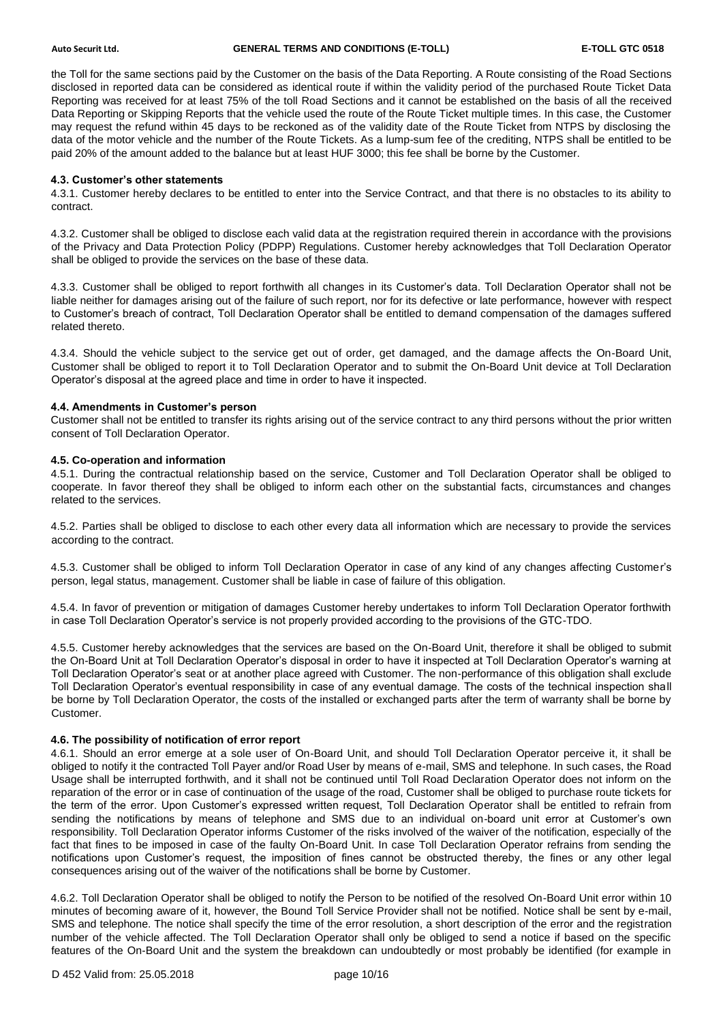the Toll for the same sections paid by the Customer on the basis of the Data Reporting. A Route consisting of the Road Sections disclosed in reported data can be considered as identical route if within the validity period of the purchased Route Ticket Data Reporting was received for at least 75% of the toll Road Sections and it cannot be established on the basis of all the received Data Reporting or Skipping Reports that the vehicle used the route of the Route Ticket multiple times. In this case, the Customer may request the refund within 45 days to be reckoned as of the validity date of the Route Ticket from NTPS by disclosing the data of the motor vehicle and the number of the Route Tickets. As a lump-sum fee of the crediting, NTPS shall be entitled to be paid 20% of the amount added to the balance but at least HUF 3000; this fee shall be borne by the Customer.

# **4.3. Customer's other statements**

4.3.1. Customer hereby declares to be entitled to enter into the Service Contract, and that there is no obstacles to its ability to contract.

4.3.2. Customer shall be obliged to disclose each valid data at the registration required therein in accordance with the provisions of the Privacy and Data Protection Policy (PDPP) Regulations. Customer hereby acknowledges that Toll Declaration Operator shall be obliged to provide the services on the base of these data.

4.3.3. Customer shall be obliged to report forthwith all changes in its Customer's data. Toll Declaration Operator shall not be liable neither for damages arising out of the failure of such report, nor for its defective or late performance, however with respect to Customer's breach of contract, Toll Declaration Operator shall be entitled to demand compensation of the damages suffered related thereto.

4.3.4. Should the vehicle subject to the service get out of order, get damaged, and the damage affects the On-Board Unit, Customer shall be obliged to report it to Toll Declaration Operator and to submit the On-Board Unit device at Toll Declaration Operator's disposal at the agreed place and time in order to have it inspected.

# **4.4. Amendments in Customer's person**

Customer shall not be entitled to transfer its rights arising out of the service contract to any third persons without the prior written consent of Toll Declaration Operator.

# **4.5. Co-operation and information**

4.5.1. During the contractual relationship based on the service, Customer and Toll Declaration Operator shall be obliged to cooperate. In favor thereof they shall be obliged to inform each other on the substantial facts, circumstances and changes related to the services.

4.5.2. Parties shall be obliged to disclose to each other every data all information which are necessary to provide the services according to the contract.

4.5.3. Customer shall be obliged to inform Toll Declaration Operator in case of any kind of any changes affecting Customer's person, legal status, management. Customer shall be liable in case of failure of this obligation.

4.5.4. In favor of prevention or mitigation of damages Customer hereby undertakes to inform Toll Declaration Operator forthwith in case Toll Declaration Operator's service is not properly provided according to the provisions of the GTC-TDO.

4.5.5. Customer hereby acknowledges that the services are based on the On-Board Unit, therefore it shall be obliged to submit the On-Board Unit at Toll Declaration Operator's disposal in order to have it inspected at Toll Declaration Operator's warning at Toll Declaration Operator's seat or at another place agreed with Customer. The non-performance of this obligation shall exclude Toll Declaration Operator's eventual responsibility in case of any eventual damage. The costs of the technical inspection shall be borne by Toll Declaration Operator, the costs of the installed or exchanged parts after the term of warranty shall be borne by Customer.

# **4.6. The possibility of notification of error report**

4.6.1. Should an error emerge at a sole user of On-Board Unit, and should Toll Declaration Operator perceive it, it shall be obliged to notify it the contracted Toll Payer and/or Road User by means of e-mail, SMS and telephone. In such cases, the Road Usage shall be interrupted forthwith, and it shall not be continued until Toll Road Declaration Operator does not inform on the reparation of the error or in case of continuation of the usage of the road, Customer shall be obliged to purchase route tickets for the term of the error. Upon Customer's expressed written request, Toll Declaration Operator shall be entitled to refrain from sending the notifications by means of telephone and SMS due to an individual on-board unit error at Customer's own responsibility. Toll Declaration Operator informs Customer of the risks involved of the waiver of the notification, especially of the fact that fines to be imposed in case of the faulty On-Board Unit. In case Toll Declaration Operator refrains from sending the notifications upon Customer's request, the imposition of fines cannot be obstructed thereby, the fines or any other legal consequences arising out of the waiver of the notifications shall be borne by Customer.

4.6.2. Toll Declaration Operator shall be obliged to notify the Person to be notified of the resolved On-Board Unit error within 10 minutes of becoming aware of it, however, the Bound Toll Service Provider shall not be notified. Notice shall be sent by e-mail, SMS and telephone. The notice shall specify the time of the error resolution, a short description of the error and the registration number of the vehicle affected. The Toll Declaration Operator shall only be obliged to send a notice if based on the specific features of the On-Board Unit and the system the breakdown can undoubtedly or most probably be identified (for example in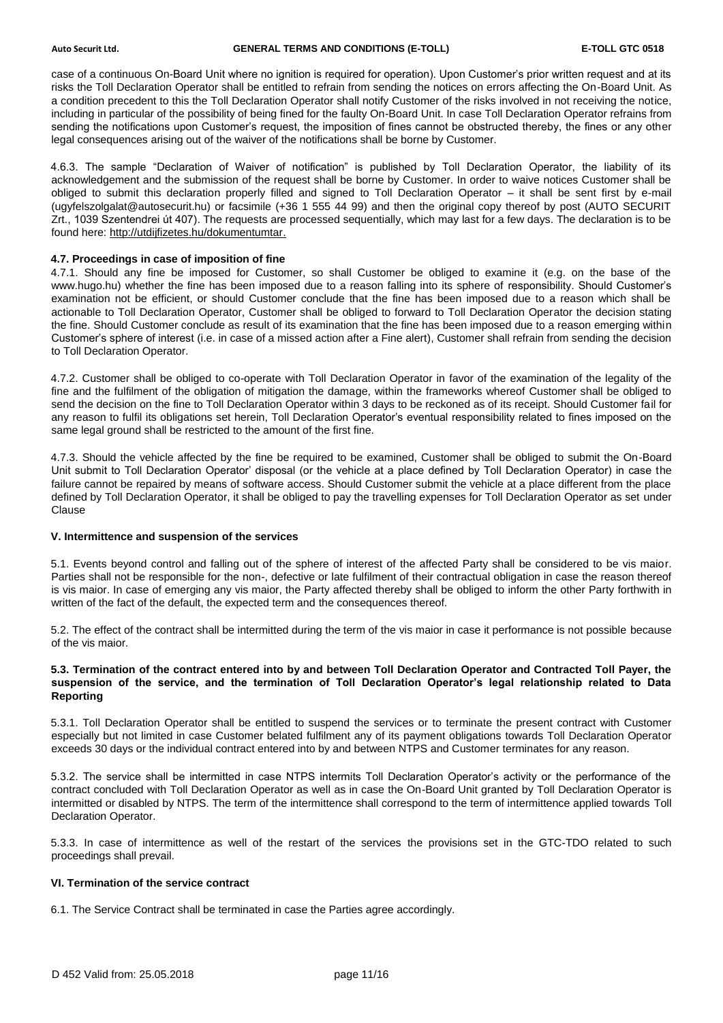case of a continuous On-Board Unit where no ignition is required for operation). Upon Customer's prior written request and at its risks the Toll Declaration Operator shall be entitled to refrain from sending the notices on errors affecting the On-Board Unit. As a condition precedent to this the Toll Declaration Operator shall notify Customer of the risks involved in not receiving the notice, including in particular of the possibility of being fined for the faulty On-Board Unit. In case Toll Declaration Operator refrains from sending the notifications upon Customer's request, the imposition of fines cannot be obstructed thereby, the fines or any other legal consequences arising out of the waiver of the notifications shall be borne by Customer.

4.6.3. The sample "Declaration of Waiver of notification" is published by Toll Declaration Operator, the liability of its acknowledgement and the submission of the request shall be borne by Customer. In order to waive notices Customer shall be obliged to submit this declaration properly filled and signed to Toll Declaration Operator – it shall be sent first by e-mail (ugyfelszolgalat@autosecurit.hu) or facsimile (+36 1 555 44 99) and then the original copy thereof by post (AUTO SECURIT Zrt., 1039 Szentendrei út 407). The requests are processed sequentially, which may last for a few days. The declaration is to be found here: [http://utdijfizetes.hu/dokumentumtar.](http://utdijfizetes.hu/dokumentumtar)

# **4.7. Proceedings in case of imposition of fine**

4.7.1. Should any fine be imposed for Customer, so shall Customer be obliged to examine it (e.g. on the base of the www.hugo.hu) whether the fine has been imposed due to a reason falling into its sphere of responsibility. Should Customer's examination not be efficient, or should Customer conclude that the fine has been imposed due to a reason which shall be actionable to Toll Declaration Operator, Customer shall be obliged to forward to Toll Declaration Operator the decision stating the fine. Should Customer conclude as result of its examination that the fine has been imposed due to a reason emerging within Customer's sphere of interest (i.e. in case of a missed action after a Fine alert), Customer shall refrain from sending the decision to Toll Declaration Operator.

4.7.2. Customer shall be obliged to co-operate with Toll Declaration Operator in favor of the examination of the legality of the fine and the fulfilment of the obligation of mitigation the damage, within the frameworks whereof Customer shall be obliged to send the decision on the fine to Toll Declaration Operator within 3 days to be reckoned as of its receipt. Should Customer fail for any reason to fulfil its obligations set herein, Toll Declaration Operator's eventual responsibility related to fines imposed on the same legal ground shall be restricted to the amount of the first fine.

4.7.3. Should the vehicle affected by the fine be required to be examined, Customer shall be obliged to submit the On-Board Unit submit to Toll Declaration Operator' disposal (or the vehicle at a place defined by Toll Declaration Operator) in case the failure cannot be repaired by means of software access. Should Customer submit the vehicle at a place different from the place defined by Toll Declaration Operator, it shall be obliged to pay the travelling expenses for Toll Declaration Operator as set under Clause

# **V. Intermittence and suspension of the services**

5.1. Events beyond control and falling out of the sphere of interest of the affected Party shall be considered to be vis maior. Parties shall not be responsible for the non-, defective or late fulfilment of their contractual obligation in case the reason thereof is vis maior. In case of emerging any vis maior, the Party affected thereby shall be obliged to inform the other Party forthwith in written of the fact of the default, the expected term and the consequences thereof.

5.2. The effect of the contract shall be intermitted during the term of the vis maior in case it performance is not possible because of the vis maior.

### **5.3. Termination of the contract entered into by and between Toll Declaration Operator and Contracted Toll Payer, the suspension of the service, and the termination of Toll Declaration Operator's legal relationship related to Data Reporting**

5.3.1. Toll Declaration Operator shall be entitled to suspend the services or to terminate the present contract with Customer especially but not limited in case Customer belated fulfilment any of its payment obligations towards Toll Declaration Operator exceeds 30 days or the individual contract entered into by and between NTPS and Customer terminates for any reason.

5.3.2. The service shall be intermitted in case NTPS intermits Toll Declaration Operator's activity or the performance of the contract concluded with Toll Declaration Operator as well as in case the On-Board Unit granted by Toll Declaration Operator is intermitted or disabled by NTPS. The term of the intermittence shall correspond to the term of intermittence applied towards Toll Declaration Operator.

5.3.3. In case of intermittence as well of the restart of the services the provisions set in the GTC-TDO related to such proceedings shall prevail.

# **VI. Termination of the service contract**

6.1. The Service Contract shall be terminated in case the Parties agree accordingly.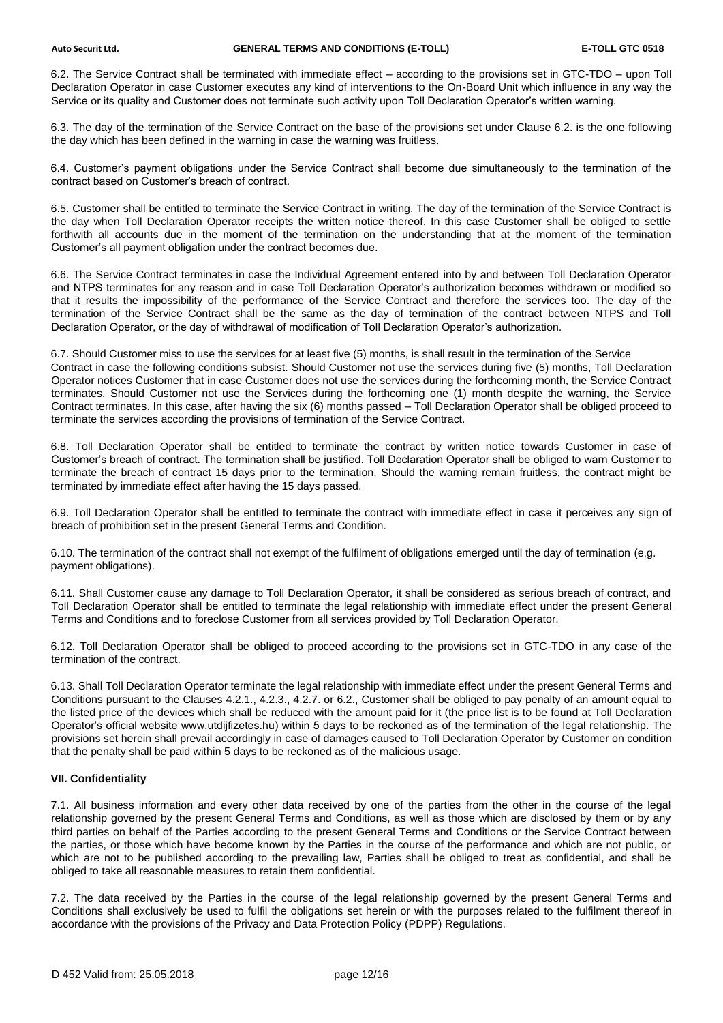6.2. The Service Contract shall be terminated with immediate effect – according to the provisions set in GTC-TDO – upon Toll Declaration Operator in case Customer executes any kind of interventions to the On-Board Unit which influence in any way the Service or its quality and Customer does not terminate such activity upon Toll Declaration Operator's written warning.

6.3. The day of the termination of the Service Contract on the base of the provisions set under Clause 6.2. is the one following the day which has been defined in the warning in case the warning was fruitless.

6.4. Customer's payment obligations under the Service Contract shall become due simultaneously to the termination of the contract based on Customer's breach of contract.

6.5. Customer shall be entitled to terminate the Service Contract in writing. The day of the termination of the Service Contract is the day when Toll Declaration Operator receipts the written notice thereof. In this case Customer shall be obliged to settle forthwith all accounts due in the moment of the termination on the understanding that at the moment of the termination Customer's all payment obligation under the contract becomes due.

6.6. The Service Contract terminates in case the Individual Agreement entered into by and between Toll Declaration Operator and NTPS terminates for any reason and in case Toll Declaration Operator's authorization becomes withdrawn or modified so that it results the impossibility of the performance of the Service Contract and therefore the services too. The day of the termination of the Service Contract shall be the same as the day of termination of the contract between NTPS and Toll Declaration Operator, or the day of withdrawal of modification of Toll Declaration Operator's authorization.

6.7. Should Customer miss to use the services for at least five (5) months, is shall result in the termination of the Service Contract in case the following conditions subsist. Should Customer not use the services during five (5) months, Toll Declaration Operator notices Customer that in case Customer does not use the services during the forthcoming month, the Service Contract terminates. Should Customer not use the Services during the forthcoming one (1) month despite the warning, the Service Contract terminates. In this case, after having the six (6) months passed – Toll Declaration Operator shall be obliged proceed to terminate the services according the provisions of termination of the Service Contract.

6.8. Toll Declaration Operator shall be entitled to terminate the contract by written notice towards Customer in case of Customer's breach of contract. The termination shall be justified. Toll Declaration Operator shall be obliged to warn Customer to terminate the breach of contract 15 days prior to the termination. Should the warning remain fruitless, the contract might be terminated by immediate effect after having the 15 days passed.

6.9. Toll Declaration Operator shall be entitled to terminate the contract with immediate effect in case it perceives any sign of breach of prohibition set in the present General Terms and Condition.

6.10. The termination of the contract shall not exempt of the fulfilment of obligations emerged until the day of termination (e.g. payment obligations).

6.11. Shall Customer cause any damage to Toll Declaration Operator, it shall be considered as serious breach of contract, and Toll Declaration Operator shall be entitled to terminate the legal relationship with immediate effect under the present General Terms and Conditions and to foreclose Customer from all services provided by Toll Declaration Operator.

6.12. Toll Declaration Operator shall be obliged to proceed according to the provisions set in GTC-TDO in any case of the termination of the contract.

6.13. Shall Toll Declaration Operator terminate the legal relationship with immediate effect under the present General Terms and Conditions pursuant to the Clauses 4.2.1., 4.2.3., 4.2.7. or 6.2., Customer shall be obliged to pay penalty of an amount equal to the listed price of the devices which shall be reduced with the amount paid for it (the price list is to be found at Toll Declaration Operator's official website www.utdijfizetes.hu) within 5 days to be reckoned as of the termination of the legal relationship. The provisions set herein shall prevail accordingly in case of damages caused to Toll Declaration Operator by Customer on condition that the penalty shall be paid within 5 days to be reckoned as of the malicious usage.

# **VII. Confidentiality**

7.1. All business information and every other data received by one of the parties from the other in the course of the legal relationship governed by the present General Terms and Conditions, as well as those which are disclosed by them or by any third parties on behalf of the Parties according to the present General Terms and Conditions or the Service Contract between the parties, or those which have become known by the Parties in the course of the performance and which are not public, or which are not to be published according to the prevailing law, Parties shall be obliged to treat as confidential, and shall be obliged to take all reasonable measures to retain them confidential.

7.2. The data received by the Parties in the course of the legal relationship governed by the present General Terms and Conditions shall exclusively be used to fulfil the obligations set herein or with the purposes related to the fulfilment thereof in accordance with the provisions of the Privacy and Data Protection Policy (PDPP) Regulations.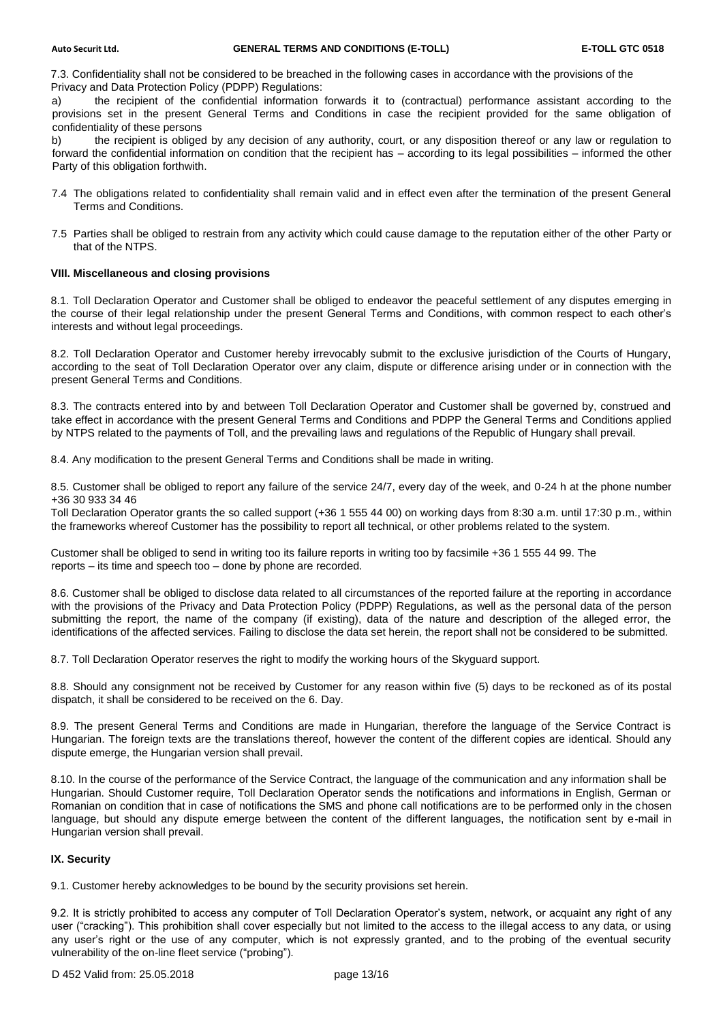7.3. Confidentiality shall not be considered to be breached in the following cases in accordance with the provisions of the Privacy and Data Protection Policy (PDPP) Regulations:

a) the recipient of the confidential information forwards it to (contractual) performance assistant according to the provisions set in the present General Terms and Conditions in case the recipient provided for the same obligation of confidentiality of these persons

b) the recipient is obliged by any decision of any authority, court, or any disposition thereof or any law or regulation to forward the confidential information on condition that the recipient has – according to its legal possibilities – informed the other Party of this obligation forthwith.

- 7.4 The obligations related to confidentiality shall remain valid and in effect even after the termination of the present General Terms and Conditions.
- 7.5 Parties shall be obliged to restrain from any activity which could cause damage to the reputation either of the other Party or that of the NTPS.

#### **VIII. Miscellaneous and closing provisions**

8.1. Toll Declaration Operator and Customer shall be obliged to endeavor the peaceful settlement of any disputes emerging in the course of their legal relationship under the present General Terms and Conditions, with common respect to each other's interests and without legal proceedings.

8.2. Toll Declaration Operator and Customer hereby irrevocably submit to the exclusive jurisdiction of the Courts of Hungary, according to the seat of Toll Declaration Operator over any claim, dispute or difference arising under or in connection with the present General Terms and Conditions.

8.3. The contracts entered into by and between Toll Declaration Operator and Customer shall be governed by, construed and take effect in accordance with the present General Terms and Conditions and PDPP the General Terms and Conditions applied by NTPS related to the payments of Toll, and the prevailing laws and regulations of the Republic of Hungary shall prevail.

8.4. Any modification to the present General Terms and Conditions shall be made in writing.

8.5. Customer shall be obliged to report any failure of the service 24/7, every day of the week, and 0-24 h at the phone number +36 30 933 34 46

Toll Declaration Operator grants the so called support (+36 1 555 44 00) on working days from 8:30 a.m. until 17:30 p.m., within the frameworks whereof Customer has the possibility to report all technical, or other problems related to the system.

Customer shall be obliged to send in writing too its failure reports in writing too by facsimile +36 1 555 44 99. The reports – its time and speech too – done by phone are recorded.

8.6. Customer shall be obliged to disclose data related to all circumstances of the reported failure at the reporting in accordance with the provisions of the Privacy and Data Protection Policy (PDPP) Regulations, as well as the personal data of the person submitting the report, the name of the company (if existing), data of the nature and description of the alleged error, the identifications of the affected services. Failing to disclose the data set herein, the report shall not be considered to be submitted.

8.7. Toll Declaration Operator reserves the right to modify the working hours of the Skyguard support.

8.8. Should any consignment not be received by Customer for any reason within five (5) days to be reckoned as of its postal dispatch, it shall be considered to be received on the 6. Day.

8.9. The present General Terms and Conditions are made in Hungarian, therefore the language of the Service Contract is Hungarian. The foreign texts are the translations thereof, however the content of the different copies are identical. Should any dispute emerge, the Hungarian version shall prevail.

8.10. In the course of the performance of the Service Contract, the language of the communication and any information shall be Hungarian. Should Customer require, Toll Declaration Operator sends the notifications and informations in English, German or Romanian on condition that in case of notifications the SMS and phone call notifications are to be performed only in the chosen language, but should any dispute emerge between the content of the different languages, the notification sent by e-mail in Hungarian version shall prevail.

# **IX. Security**

9.1. Customer hereby acknowledges to be bound by the security provisions set herein.

9.2. It is strictly prohibited to access any computer of Toll Declaration Operator's system, network, or acquaint any right of any user ("cracking"). This prohibition shall cover especially but not limited to the access to the illegal access to any data, or using any user's right or the use of any computer, which is not expressly granted, and to the probing of the eventual security vulnerability of the on-line fleet service ("probing").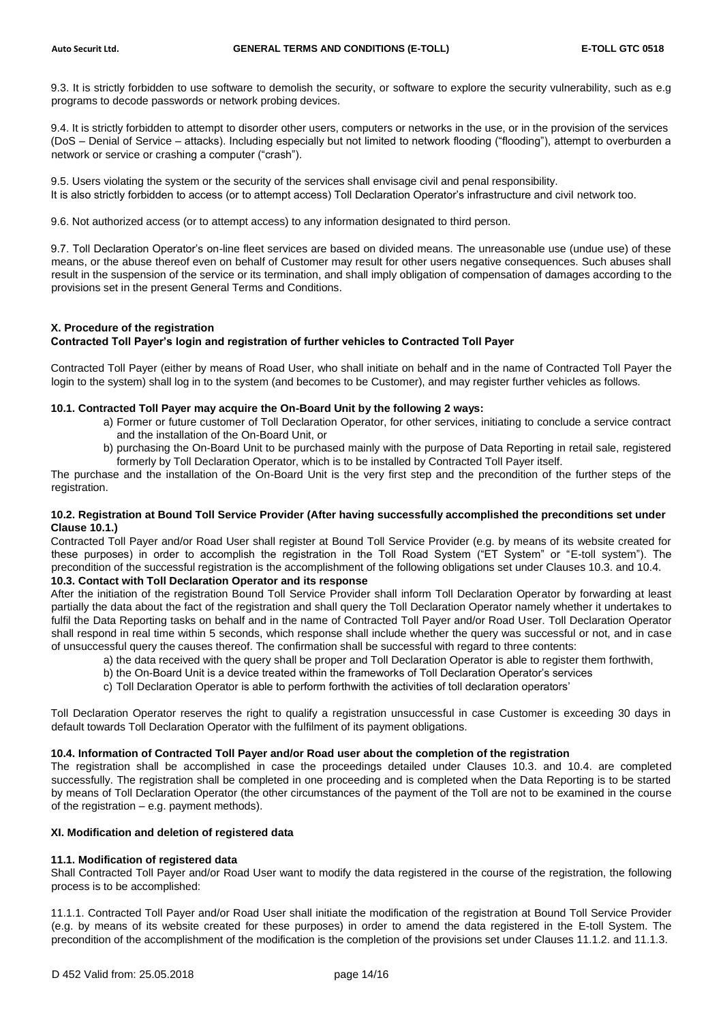9.3. It is strictly forbidden to use software to demolish the security, or software to explore the security vulnerability, such as e.g programs to decode passwords or network probing devices.

9.4. It is strictly forbidden to attempt to disorder other users, computers or networks in the use, or in the provision of the services (DoS – Denial of Service – attacks). Including especially but not limited to network flooding ("flooding"), attempt to overburden a network or service or crashing a computer ("crash").

9.5. Users violating the system or the security of the services shall envisage civil and penal responsibility. It is also strictly forbidden to access (or to attempt access) Toll Declaration Operator's infrastructure and civil network too.

9.6. Not authorized access (or to attempt access) to any information designated to third person.

9.7. Toll Declaration Operator's on-line fleet services are based on divided means. The unreasonable use (undue use) of these means, or the abuse thereof even on behalf of Customer may result for other users negative consequences. Such abuses shall result in the suspension of the service or its termination, and shall imply obligation of compensation of damages according to the provisions set in the present General Terms and Conditions.

# **X. Procedure of the registration**

# **Contracted Toll Payer's login and registration of further vehicles to Contracted Toll Payer**

Contracted Toll Payer (either by means of Road User, who shall initiate on behalf and in the name of Contracted Toll Payer the login to the system) shall log in to the system (and becomes to be Customer), and may register further vehicles as follows.

#### **10.1. Contracted Toll Payer may acquire the On-Board Unit by the following 2 ways:**

- a) Former or future customer of Toll Declaration Operator, for other services, initiating to conclude a service contract and the installation of the On-Board Unit, or
- b) purchasing the On-Board Unit to be purchased mainly with the purpose of Data Reporting in retail sale, registered formerly by Toll Declaration Operator, which is to be installed by Contracted Toll Payer itself.

The purchase and the installation of the On-Board Unit is the very first step and the precondition of the further steps of the registration.

#### **10.2. Registration at Bound Toll Service Provider (After having successfully accomplished the preconditions set under Clause 10.1.)**

Contracted Toll Payer and/or Road User shall register at Bound Toll Service Provider (e.g. by means of its website created for these purposes) in order to accomplish the registration in the Toll Road System ("ET System" or "E-toll system"). The precondition of the successful registration is the accomplishment of the following obligations set under Clauses 10.3. and 10.4.

# **10.3. Contact with Toll Declaration Operator and its response**

After the initiation of the registration Bound Toll Service Provider shall inform Toll Declaration Operator by forwarding at least partially the data about the fact of the registration and shall query the Toll Declaration Operator namely whether it undertakes to fulfil the Data Reporting tasks on behalf and in the name of Contracted Toll Payer and/or Road User. Toll Declaration Operator shall respond in real time within 5 seconds, which response shall include whether the query was successful or not, and in case of unsuccessful query the causes thereof. The confirmation shall be successful with regard to three contents:

- a) the data received with the query shall be proper and Toll Declaration Operator is able to register them forthwith,
- b) the On-Board Unit is a device treated within the frameworks of Toll Declaration Operator's services
- c) Toll Declaration Operator is able to perform forthwith the activities of toll declaration operators'

Toll Declaration Operator reserves the right to qualify a registration unsuccessful in case Customer is exceeding 30 days in default towards Toll Declaration Operator with the fulfilment of its payment obligations.

### **10.4. Information of Contracted Toll Payer and/or Road user about the completion of the registration**

The registration shall be accomplished in case the proceedings detailed under Clauses 10.3. and 10.4. are completed successfully. The registration shall be completed in one proceeding and is completed when the Data Reporting is to be started by means of Toll Declaration Operator (the other circumstances of the payment of the Toll are not to be examined in the course of the registration – e.g. payment methods).

# **XI. Modification and deletion of registered data**

# **11.1. Modification of registered data**

Shall Contracted Toll Payer and/or Road User want to modify the data registered in the course of the registration, the following process is to be accomplished:

11.1.1. Contracted Toll Payer and/or Road User shall initiate the modification of the registration at Bound Toll Service Provider (e.g. by means of its website created for these purposes) in order to amend the data registered in the E-toll System. The precondition of the accomplishment of the modification is the completion of the provisions set under Clauses 11.1.2. and 11.1.3.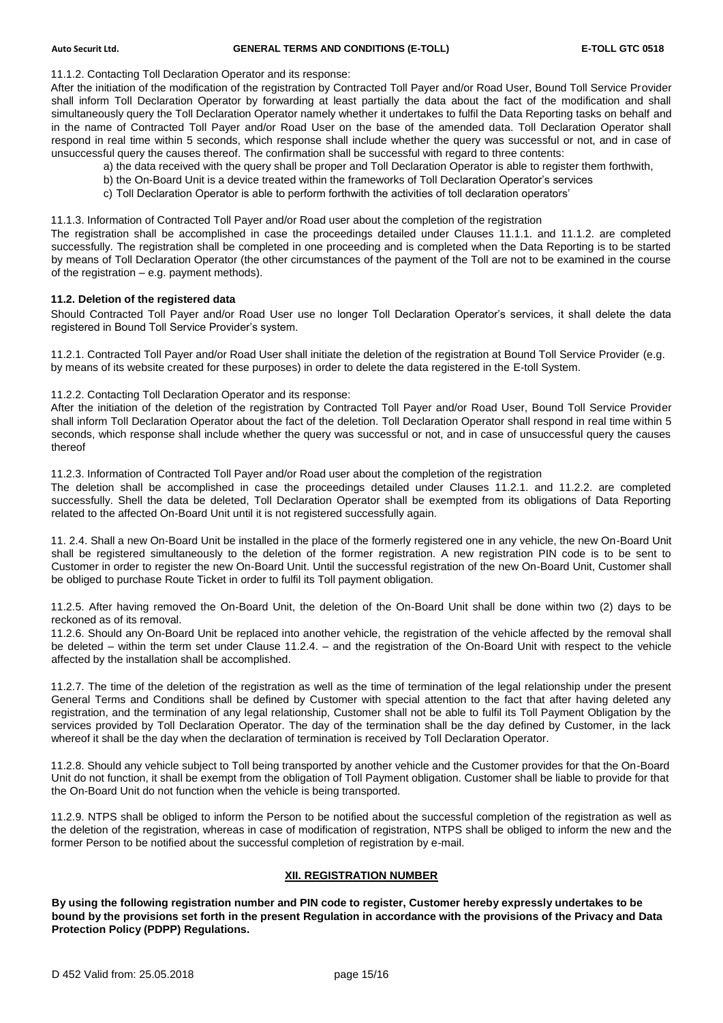11.1.2. Contacting Toll Declaration Operator and its response:

After the initiation of the modification of the registration by Contracted Toll Payer and/or Road User, Bound Toll Service Provider shall inform Toll Declaration Operator by forwarding at least partially the data about the fact of the modification and shall simultaneously query the Toll Declaration Operator namely whether it undertakes to fulfil the Data Reporting tasks on behalf and in the name of Contracted Toll Payer and/or Road User on the base of the amended data. Toll Declaration Operator shall respond in real time within 5 seconds, which response shall include whether the query was successful or not, and in case of unsuccessful query the causes thereof. The confirmation shall be successful with regard to three contents:

- a) the data received with the query shall be proper and Toll Declaration Operator is able to register them forthwith,
- b) the On-Board Unit is a device treated within the frameworks of Toll Declaration Operator's services
- c) Toll Declaration Operator is able to perform forthwith the activities of toll declaration operators'

11.1.3. Information of Contracted Toll Payer and/or Road user about the completion of the registration

The registration shall be accomplished in case the proceedings detailed under Clauses 11.1.1. and 11.1.2. are completed successfully. The registration shall be completed in one proceeding and is completed when the Data Reporting is to be started by means of Toll Declaration Operator (the other circumstances of the payment of the Toll are not to be examined in the course of the registration – e.g. payment methods).

#### **11.2. Deletion of the registered data**

Should Contracted Toll Payer and/or Road User use no longer Toll Declaration Operator's services, it shall delete the data registered in Bound Toll Service Provider's system.

11.2.1. Contracted Toll Payer and/or Road User shall initiate the deletion of the registration at Bound Toll Service Provider (e.g. by means of its website created for these purposes) in order to delete the data registered in the E-toll System.

# 11.2.2. Contacting Toll Declaration Operator and its response:

After the initiation of the deletion of the registration by Contracted Toll Payer and/or Road User, Bound Toll Service Provider shall inform Toll Declaration Operator about the fact of the deletion. Toll Declaration Operator shall respond in real time within 5 seconds, which response shall include whether the query was successful or not, and in case of unsuccessful query the causes thereof

11.2.3. Information of Contracted Toll Payer and/or Road user about the completion of the registration

The deletion shall be accomplished in case the proceedings detailed under Clauses 11.2.1. and 11.2.2. are completed successfully. Shell the data be deleted, Toll Declaration Operator shall be exempted from its obligations of Data Reporting related to the affected On-Board Unit until it is not registered successfully again.

11. 2.4. Shall a new On-Board Unit be installed in the place of the formerly registered one in any vehicle, the new On-Board Unit shall be registered simultaneously to the deletion of the former registration. A new registration PIN code is to be sent to Customer in order to register the new On-Board Unit. Until the successful registration of the new On-Board Unit, Customer shall be obliged to purchase Route Ticket in order to fulfil its Toll payment obligation.

11.2.5. After having removed the On-Board Unit, the deletion of the On-Board Unit shall be done within two (2) days to be reckoned as of its removal.

11.2.6. Should any On-Board Unit be replaced into another vehicle, the registration of the vehicle affected by the removal shall be deleted – within the term set under Clause 11.2.4. – and the registration of the On-Board Unit with respect to the vehicle affected by the installation shall be accomplished.

11.2.7. The time of the deletion of the registration as well as the time of termination of the legal relationship under the present General Terms and Conditions shall be defined by Customer with special attention to the fact that after having deleted any registration, and the termination of any legal relationship, Customer shall not be able to fulfil its Toll Payment Obligation by the services provided by Toll Declaration Operator. The day of the termination shall be the day defined by Customer, in the lack whereof it shall be the day when the declaration of termination is received by Toll Declaration Operator.

11.2.8. Should any vehicle subject to Toll being transported by another vehicle and the Customer provides for that the On-Board Unit do not function, it shall be exempt from the obligation of Toll Payment obligation. Customer shall be liable to provide for that the On-Board Unit do not function when the vehicle is being transported.

11.2.9. NTPS shall be obliged to inform the Person to be notified about the successful completion of the registration as well as the deletion of the registration, whereas in case of modification of registration, NTPS shall be obliged to inform the new and the former Person to be notified about the successful completion of registration by e-mail.

#### **XII. REGISTRATION NUMBER**

**By using the following registration number and PIN code to register, Customer hereby expressly undertakes to be bound by the provisions set forth in the present Regulation in accordance with the provisions of the Privacy and Data Protection Policy (PDPP) Regulations.**